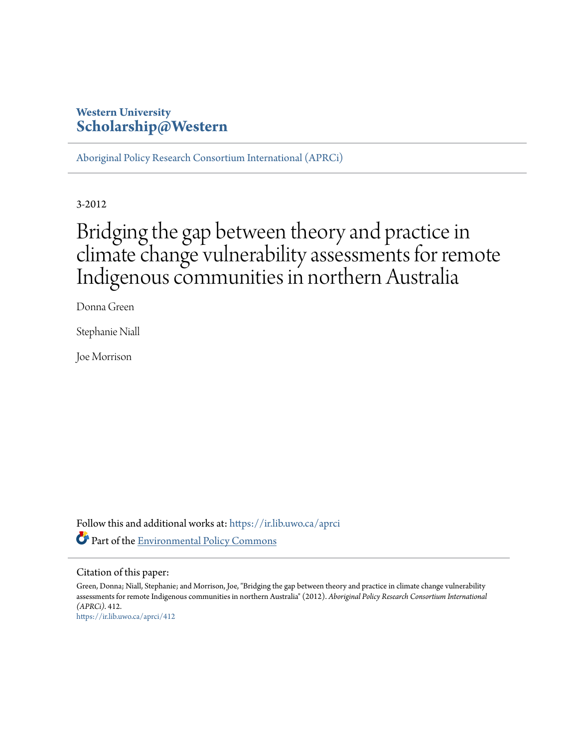# **Western University [Scholarship@Western](https://ir.lib.uwo.ca?utm_source=ir.lib.uwo.ca%2Faprci%2F412&utm_medium=PDF&utm_campaign=PDFCoverPages)**

[Aboriginal Policy Research Consortium International \(APRCi\)](https://ir.lib.uwo.ca/aprci?utm_source=ir.lib.uwo.ca%2Faprci%2F412&utm_medium=PDF&utm_campaign=PDFCoverPages)

3-2012

# Bridging the gap between theory and practice in climate change vulnerability assessments for remote Indigenous communities in northern Australia

Donna Green

Stephanie Niall

Joe Morrison

Follow this and additional works at: [https://ir.lib.uwo.ca/aprci](https://ir.lib.uwo.ca/aprci?utm_source=ir.lib.uwo.ca%2Faprci%2F412&utm_medium=PDF&utm_campaign=PDFCoverPages) Part of the [Environmental Policy Commons](http://network.bepress.com/hgg/discipline/1027?utm_source=ir.lib.uwo.ca%2Faprci%2F412&utm_medium=PDF&utm_campaign=PDFCoverPages)

### Citation of this paper:

Green, Donna; Niall, Stephanie; and Morrison, Joe, "Bridging the gap between theory and practice in climate change vulnerability assessments for remote Indigenous communities in northern Australia" (2012). *Aboriginal Policy Research Consortium International (APRCi)*. 412. [https://ir.lib.uwo.ca/aprci/412](https://ir.lib.uwo.ca/aprci/412?utm_source=ir.lib.uwo.ca%2Faprci%2F412&utm_medium=PDF&utm_campaign=PDFCoverPages)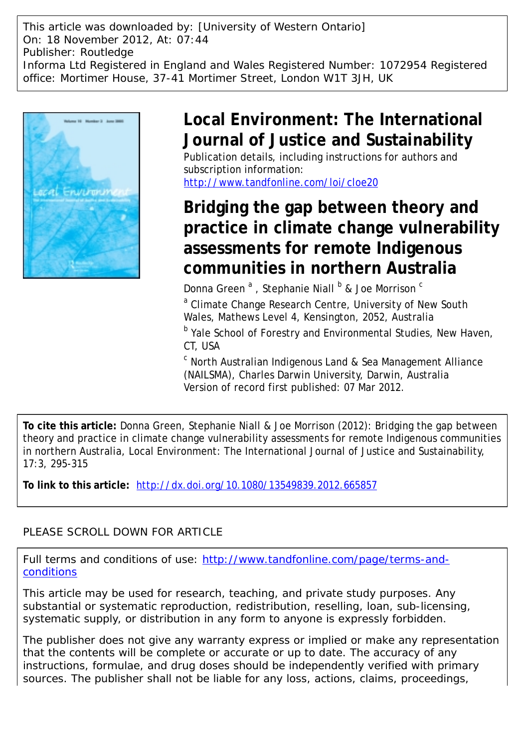This article was downloaded by: [University of Western Ontario] On: 18 November 2012, At: 07:44 Publisher: Routledge Informa Ltd Registered in England and Wales Registered Number: 1072954 Registered office: Mortimer House, 37-41 Mortimer Street, London W1T 3JH, UK



**Local Environment: The International Journal of Justice and Sustainability**

Publication details, including instructions for authors and subscription information:

<http://www.tandfonline.com/loi/cloe20>

# **Bridging the gap between theory and practice in climate change vulnerability assessments for remote Indigenous communities in northern Australia**

Donna Green<sup>a</sup>, Stephanie Niall <sup>b</sup> & Joe Morrison<sup>c</sup>

<sup>a</sup> Climate Change Research Centre, University of New South Wales, Mathews Level 4, Kensington, 2052, Australia

<sup>b</sup> Yale School of Forestry and Environmental Studies, New Haven, CT, USA

<sup>c</sup> North Australian Indigenous Land & Sea Management Alliance (NAILSMA), Charles Darwin University, Darwin, Australia Version of record first published: 07 Mar 2012.

**To cite this article:** Donna Green, Stephanie Niall & Joe Morrison (2012): Bridging the gap between theory and practice in climate change vulnerability assessments for remote Indigenous communities in northern Australia, Local Environment: The International Journal of Justice and Sustainability, 17:3, 295-315

**To link to this article:** <http://dx.doi.org/10.1080/13549839.2012.665857>

# PLEASE SCROLL DOWN FOR ARTICLE

Full terms and conditions of use: [http://www.tandfonline.com/page/terms-and](http://www.tandfonline.com/page/terms-and-conditions)[conditions](http://www.tandfonline.com/page/terms-and-conditions)

This article may be used for research, teaching, and private study purposes. Any substantial or systematic reproduction, redistribution, reselling, loan, sub-licensing, systematic supply, or distribution in any form to anyone is expressly forbidden.

The publisher does not give any warranty express or implied or make any representation that the contents will be complete or accurate or up to date. The accuracy of any instructions, formulae, and drug doses should be independently verified with primary sources. The publisher shall not be liable for any loss, actions, claims, proceedings,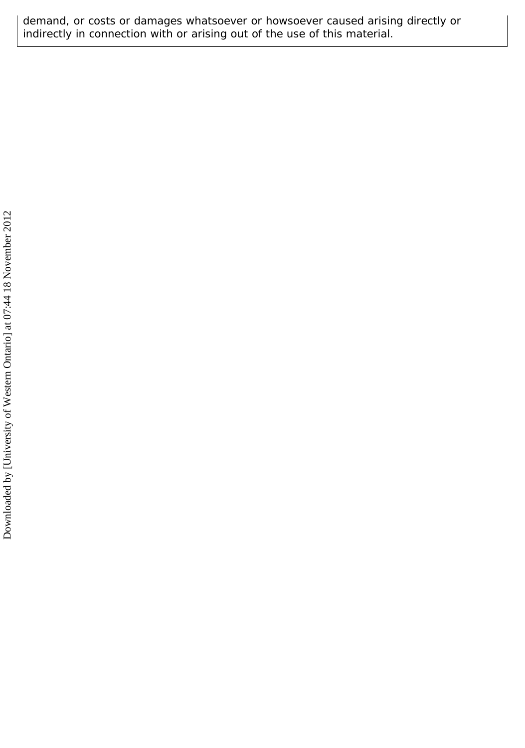demand, or costs or damages whatsoever or howsoever caused arising directly or indirectly in connection with or arising out of the use of this material.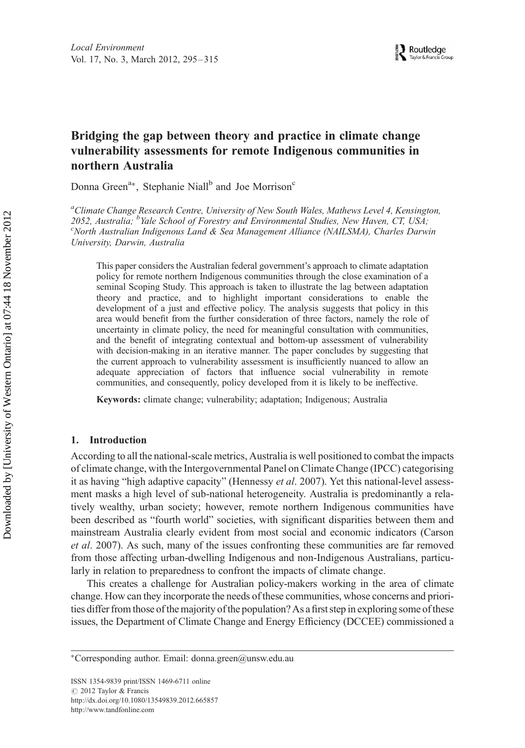## Bridging the gap between theory and practice in climate change vulnerability assessments for remote Indigenous communities in northern Australia

Donna Green<sup>a∗</sup>, Stephanie Niall<sup>b</sup> and Joe Morrison<sup>c</sup>

<sup>a</sup>Climate Change Research Centre, University of New South Wales, Mathews Level 4, Kensington, 2052, Australia; <sup>b</sup>Yale School of Forestry and Environmental Studies, New Haven, CT, USA;<br>SNorth Australian Indiagnous Land & Sea Managament Alliance (NAII SMA), Charles Darw North Australian Indigenous Land & Sea Management Alliance (NAILSMA), Charles Darwin University, Darwin, Australia

This paper considers the Australian federal government's approach to climate adaptation policy for remote northern Indigenous communities through the close examination of a seminal Scoping Study. This approach is taken to illustrate the lag between adaptation theory and practice, and to highlight important considerations to enable the development of a just and effective policy. The analysis suggests that policy in this area would benefit from the further consideration of three factors, namely the role of uncertainty in climate policy, the need for meaningful consultation with communities, and the benefit of integrating contextual and bottom-up assessment of vulnerability with decision-making in an iterative manner. The paper concludes by suggesting that the current approach to vulnerability assessment is insufficiently nuanced to allow an adequate appreciation of factors that influence social vulnerability in remote communities, and consequently, policy developed from it is likely to be ineffective.

Keywords: climate change; vulnerability; adaptation; Indigenous; Australia

#### 1. Introduction

According to all the national-scale metrics, Australia is well positioned to combat the impacts of climate change, with the Intergovernmental Panel on Climate Change (IPCC) categorising it as having "high adaptive capacity" (Hennessy et al. 2007). Yet this national-level assessment masks a high level of sub-national heterogeneity. Australia is predominantly a relatively wealthy, urban society; however, remote northern Indigenous communities have been described as "fourth world" societies, with significant disparities between them and mainstream Australia clearly evident from most social and economic indicators (Carson et al. 2007). As such, many of the issues confronting these communities are far removed from those affecting urban-dwelling Indigenous and non-Indigenous Australians, particularly in relation to preparedness to confront the impacts of climate change.

This creates a challenge for Australian policy-makers working in the area of climate change. How can they incorporate the needs of these communities, whose concerns and priorities differ from those of the majority of the population? As a first step in exploring some of these issues, the Department of Climate Change and Energy Efficiency (DCCEE) commissioned a

ISSN 1354-9839 print/ISSN 1469-6711 online C 2012 Taylor & Francis http://dx.doi.org/10.1080/13549839.2012.665857 http://www.tandfonline.com

<sup>∗</sup>Corresponding author. Email: donna.green@unsw.edu.au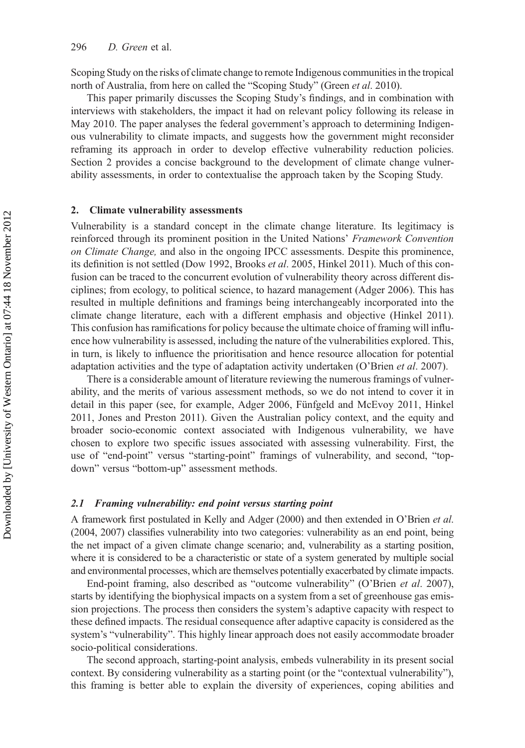Scoping Study on the risks of climate change to remote Indigenous communities in the tropical north of Australia, from here on called the "Scoping Study" (Green et al. 2010).

This paper primarily discusses the Scoping Study's findings, and in combination with interviews with stakeholders, the impact it had on relevant policy following its release in May 2010. The paper analyses the federal government's approach to determining Indigenous vulnerability to climate impacts, and suggests how the government might reconsider reframing its approach in order to develop effective vulnerability reduction policies. Section 2 provides a concise background to the development of climate change vulnerability assessments, in order to contextualise the approach taken by the Scoping Study.

#### 2. Climate vulnerability assessments

Vulnerability is a standard concept in the climate change literature. Its legitimacy is reinforced through its prominent position in the United Nations' Framework Convention on Climate Change, and also in the ongoing IPCC assessments. Despite this prominence, its definition is not settled (Dow 1992, Brooks et al. 2005, Hinkel 2011). Much of this confusion can be traced to the concurrent evolution of vulnerability theory across different disciplines; from ecology, to political science, to hazard management (Adger 2006). This has resulted in multiple definitions and framings being interchangeably incorporated into the climate change literature, each with a different emphasis and objective (Hinkel 2011). This confusion has ramifications for policy because the ultimate choice of framing will influence how vulnerability is assessed, including the nature of the vulnerabilities explored. This, in turn, is likely to influence the prioritisation and hence resource allocation for potential adaptation activities and the type of adaptation activity undertaken (O'Brien et al. 2007).

There is a considerable amount of literature reviewing the numerous framings of vulnerability, and the merits of various assessment methods, so we do not intend to cover it in detail in this paper (see, for example, Adger 2006, Fünfgeld and McEvoy 2011, Hinkel 2011, Jones and Preston 2011). Given the Australian policy context, and the equity and broader socio-economic context associated with Indigenous vulnerability, we have chosen to explore two specific issues associated with assessing vulnerability. First, the use of "end-point" versus "starting-point" framings of vulnerability, and second, "topdown" versus "bottom-up" assessment methods.

#### 2.1 Framing vulnerability: end point versus starting point

A framework first postulated in Kelly and Adger (2000) and then extended in O'Brien et al. (2004, 2007) classifies vulnerability into two categories: vulnerability as an end point, being the net impact of a given climate change scenario; and, vulnerability as a starting position, where it is considered to be a characteristic or state of a system generated by multiple social and environmental processes, which are themselves potentially exacerbated by climate impacts.

End-point framing, also described as "outcome vulnerability" (O'Brien et al. 2007), starts by identifying the biophysical impacts on a system from a set of greenhouse gas emission projections. The process then considers the system's adaptive capacity with respect to these defined impacts. The residual consequence after adaptive capacity is considered as the system's "vulnerability". This highly linear approach does not easily accommodate broader socio-political considerations.

The second approach, starting-point analysis, embeds vulnerability in its present social context. By considering vulnerability as a starting point (or the "contextual vulnerability"), this framing is better able to explain the diversity of experiences, coping abilities and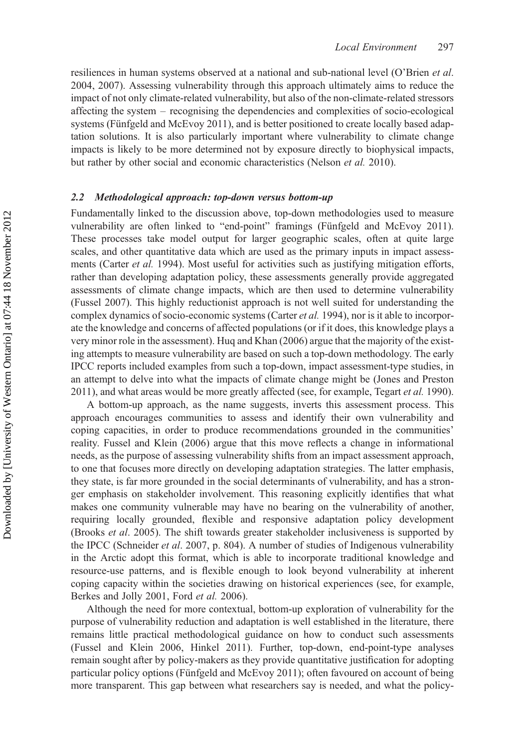resiliences in human systems observed at a national and sub-national level (O'Brien et al. 2004, 2007). Assessing vulnerability through this approach ultimately aims to reduce the impact of not only climate-related vulnerability, but also of the non-climate-related stressors affecting the system – recognising the dependencies and complexities of socio-ecological systems (Fünfgeld and McEvoy 2011), and is better positioned to create locally based adaptation solutions. It is also particularly important where vulnerability to climate change impacts is likely to be more determined not by exposure directly to biophysical impacts, but rather by other social and economic characteristics (Nelson et al. 2010).

#### 2.2 Methodological approach: top-down versus bottom-up

Fundamentally linked to the discussion above, top-down methodologies used to measure vulnerability are often linked to "end-point" framings (Fünfgeld and McEvoy 2011). These processes take model output for larger geographic scales, often at quite large scales, and other quantitative data which are used as the primary inputs in impact assessments (Carter et al. 1994). Most useful for activities such as justifying mitigation efforts, rather than developing adaptation policy, these assessments generally provide aggregated assessments of climate change impacts, which are then used to determine vulnerability (Fussel 2007). This highly reductionist approach is not well suited for understanding the complex dynamics of socio-economic systems (Carter *et al.* 1994), nor is it able to incorporate the knowledge and concerns of affected populations (or if it does, this knowledge plays a very minor role in the assessment). Huq and Khan (2006) argue that the majority of the existing attempts to measure vulnerability are based on such a top-down methodology. The early IPCC reports included examples from such a top-down, impact assessment-type studies, in an attempt to delve into what the impacts of climate change might be (Jones and Preston 2011), and what areas would be more greatly affected (see, for example, Tegart et al. 1990).

A bottom-up approach, as the name suggests, inverts this assessment process. This approach encourages communities to assess and identify their own vulnerability and coping capacities, in order to produce recommendations grounded in the communities' reality. Fussel and Klein (2006) argue that this move reflects a change in informational needs, as the purpose of assessing vulnerability shifts from an impact assessment approach, to one that focuses more directly on developing adaptation strategies. The latter emphasis, they state, is far more grounded in the social determinants of vulnerability, and has a stronger emphasis on stakeholder involvement. This reasoning explicitly identifies that what makes one community vulnerable may have no bearing on the vulnerability of another, requiring locally grounded, flexible and responsive adaptation policy development (Brooks et al. 2005). The shift towards greater stakeholder inclusiveness is supported by the IPCC (Schneider et al. 2007, p. 804). A number of studies of Indigenous vulnerability in the Arctic adopt this format, which is able to incorporate traditional knowledge and resource-use patterns, and is flexible enough to look beyond vulnerability at inherent coping capacity within the societies drawing on historical experiences (see, for example, Berkes and Jolly 2001, Ford et al. 2006).

Although the need for more contextual, bottom-up exploration of vulnerability for the purpose of vulnerability reduction and adaptation is well established in the literature, there remains little practical methodological guidance on how to conduct such assessments (Fussel and Klein 2006, Hinkel 2011). Further, top-down, end-point-type analyses remain sought after by policy-makers as they provide quantitative justification for adopting particular policy options (Fünfgeld and McEvoy 2011); often favoured on account of being more transparent. This gap between what researchers say is needed, and what the policy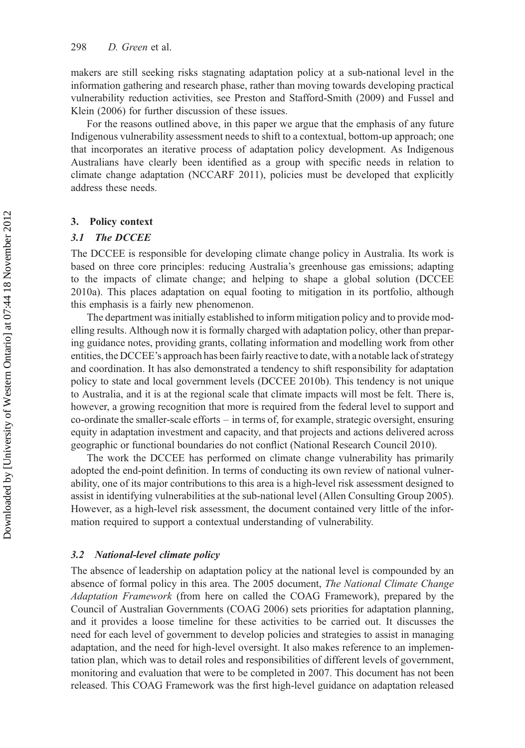makers are still seeking risks stagnating adaptation policy at a sub-national level in the information gathering and research phase, rather than moving towards developing practical vulnerability reduction activities, see Preston and Stafford-Smith (2009) and Fussel and Klein (2006) for further discussion of these issues.

For the reasons outlined above, in this paper we argue that the emphasis of any future Indigenous vulnerability assessment needs to shift to a contextual, bottom-up approach; one that incorporates an iterative process of adaptation policy development. As Indigenous Australians have clearly been identified as a group with specific needs in relation to climate change adaptation (NCCARF 2011), policies must be developed that explicitly address these needs.

#### 3. Policy context

#### 3.1 The DCCEE

The DCCEE is responsible for developing climate change policy in Australia. Its work is based on three core principles: reducing Australia's greenhouse gas emissions; adapting to the impacts of climate change; and helping to shape a global solution (DCCEE 2010a). This places adaptation on equal footing to mitigation in its portfolio, although this emphasis is a fairly new phenomenon.

The department was initially established to inform mitigation policy and to provide modelling results. Although now it is formally charged with adaptation policy, other than preparing guidance notes, providing grants, collating information and modelling work from other entities, the DCCEE's approach has been fairly reactive to date, with a notable lack of strategy and coordination. It has also demonstrated a tendency to shift responsibility for adaptation policy to state and local government levels (DCCEE 2010b). This tendency is not unique to Australia, and it is at the regional scale that climate impacts will most be felt. There is, however, a growing recognition that more is required from the federal level to support and co-ordinate the smaller-scale efforts – in terms of, for example, strategic oversight, ensuring equity in adaptation investment and capacity, and that projects and actions delivered across geographic or functional boundaries do not conflict (National Research Council 2010).

The work the DCCEE has performed on climate change vulnerability has primarily adopted the end-point definition. In terms of conducting its own review of national vulnerability, one of its major contributions to this area is a high-level risk assessment designed to assist in identifying vulnerabilities at the sub-national level (Allen Consulting Group 2005). However, as a high-level risk assessment, the document contained very little of the information required to support a contextual understanding of vulnerability.

#### 3.2 National-level climate policy

The absence of leadership on adaptation policy at the national level is compounded by an absence of formal policy in this area. The 2005 document, The National Climate Change Adaptation Framework (from here on called the COAG Framework), prepared by the Council of Australian Governments (COAG 2006) sets priorities for adaptation planning, and it provides a loose timeline for these activities to be carried out. It discusses the need for each level of government to develop policies and strategies to assist in managing adaptation, and the need for high-level oversight. It also makes reference to an implementation plan, which was to detail roles and responsibilities of different levels of government, monitoring and evaluation that were to be completed in 2007. This document has not been released. This COAG Framework was the first high-level guidance on adaptation released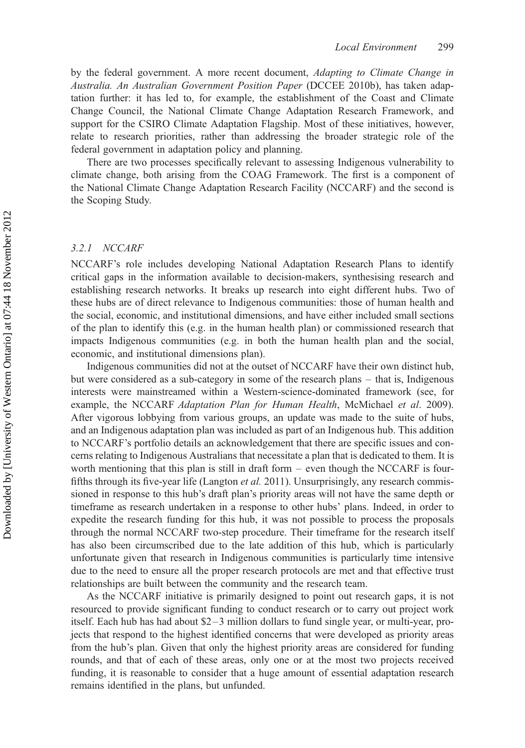by the federal government. A more recent document, Adapting to Climate Change in Australia. An Australian Government Position Paper (DCCEE 2010b), has taken adaptation further: it has led to, for example, the establishment of the Coast and Climate Change Council, the National Climate Change Adaptation Research Framework, and support for the CSIRO Climate Adaptation Flagship. Most of these initiatives, however, relate to research priorities, rather than addressing the broader strategic role of the federal government in adaptation policy and planning.

There are two processes specifically relevant to assessing Indigenous vulnerability to climate change, both arising from the COAG Framework. The first is a component of the National Climate Change Adaptation Research Facility (NCCARF) and the second is the Scoping Study.

#### 3.2.1 NCCARF

NCCARF's role includes developing National Adaptation Research Plans to identify critical gaps in the information available to decision-makers, synthesising research and establishing research networks. It breaks up research into eight different hubs. Two of these hubs are of direct relevance to Indigenous communities: those of human health and the social, economic, and institutional dimensions, and have either included small sections of the plan to identify this (e.g. in the human health plan) or commissioned research that impacts Indigenous communities (e.g. in both the human health plan and the social, economic, and institutional dimensions plan).

Indigenous communities did not at the outset of NCCARF have their own distinct hub, but were considered as a sub-category in some of the research plans – that is, Indigenous interests were mainstreamed within a Western-science-dominated framework (see, for example, the NCCARF Adaptation Plan for Human Health, McMichael et al. 2009). After vigorous lobbying from various groups, an update was made to the suite of hubs, and an Indigenous adaptation plan was included as part of an Indigenous hub. This addition to NCCARF's portfolio details an acknowledgement that there are specific issues and concerns relating to Indigenous Australians that necessitate a plan that is dedicated to them. It is worth mentioning that this plan is still in draft form  $-$  even though the NCCARF is fourfifths through its five-year life (Langton *et al.* 2011). Unsurprisingly, any research commissioned in response to this hub's draft plan's priority areas will not have the same depth or timeframe as research undertaken in a response to other hubs' plans. Indeed, in order to expedite the research funding for this hub, it was not possible to process the proposals through the normal NCCARF two-step procedure. Their timeframe for the research itself has also been circumscribed due to the late addition of this hub, which is particularly unfortunate given that research in Indigenous communities is particularly time intensive due to the need to ensure all the proper research protocols are met and that effective trust relationships are built between the community and the research team.

As the NCCARF initiative is primarily designed to point out research gaps, it is not resourced to provide significant funding to conduct research or to carry out project work itself. Each hub has had about \$2– 3 million dollars to fund single year, or multi-year, projects that respond to the highest identified concerns that were developed as priority areas from the hub's plan. Given that only the highest priority areas are considered for funding rounds, and that of each of these areas, only one or at the most two projects received funding, it is reasonable to consider that a huge amount of essential adaptation research remains identified in the plans, but unfunded.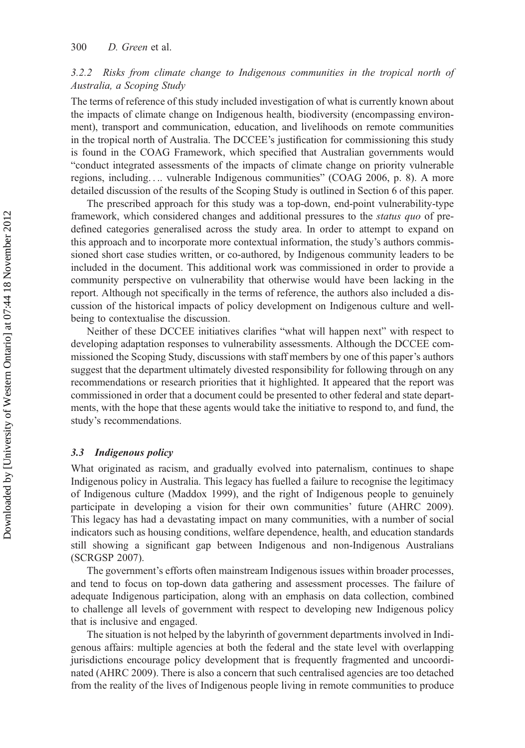#### 3.2.2 Risks from climate change to Indigenous communities in the tropical north of Australia, a Scoping Study

The terms of reference of this study included investigation of what is currently known about the impacts of climate change on Indigenous health, biodiversity (encompassing environment), transport and communication, education, and livelihoods on remote communities in the tropical north of Australia. The DCCEE's justification for commissioning this study is found in the COAG Framework, which specified that Australian governments would "conduct integrated assessments of the impacts of climate change on priority vulnerable regions, including.... vulnerable Indigenous communities" (COAG 2006, p. 8). A more detailed discussion of the results of the Scoping Study is outlined in Section 6 of this paper.

The prescribed approach for this study was a top-down, end-point vulnerability-type framework, which considered changes and additional pressures to the status quo of predefined categories generalised across the study area. In order to attempt to expand on this approach and to incorporate more contextual information, the study's authors commissioned short case studies written, or co-authored, by Indigenous community leaders to be included in the document. This additional work was commissioned in order to provide a community perspective on vulnerability that otherwise would have been lacking in the report. Although not specifically in the terms of reference, the authors also included a discussion of the historical impacts of policy development on Indigenous culture and wellbeing to contextualise the discussion.

Neither of these DCCEE initiatives clarifies "what will happen next" with respect to developing adaptation responses to vulnerability assessments. Although the DCCEE commissioned the Scoping Study, discussions with staff members by one of this paper's authors suggest that the department ultimately divested responsibility for following through on any recommendations or research priorities that it highlighted. It appeared that the report was commissioned in order that a document could be presented to other federal and state departments, with the hope that these agents would take the initiative to respond to, and fund, the study's recommendations.

#### 3.3 Indigenous policy

What originated as racism, and gradually evolved into paternalism, continues to shape Indigenous policy in Australia. This legacy has fuelled a failure to recognise the legitimacy of Indigenous culture (Maddox 1999), and the right of Indigenous people to genuinely participate in developing a vision for their own communities' future (AHRC 2009). This legacy has had a devastating impact on many communities, with a number of social indicators such as housing conditions, welfare dependence, health, and education standards still showing a significant gap between Indigenous and non-Indigenous Australians (SCRGSP 2007).

The government's efforts often mainstream Indigenous issues within broader processes, and tend to focus on top-down data gathering and assessment processes. The failure of adequate Indigenous participation, along with an emphasis on data collection, combined to challenge all levels of government with respect to developing new Indigenous policy that is inclusive and engaged.

The situation is not helped by the labyrinth of government departments involved in Indigenous affairs: multiple agencies at both the federal and the state level with overlapping jurisdictions encourage policy development that is frequently fragmented and uncoordinated (AHRC 2009). There is also a concern that such centralised agencies are too detached from the reality of the lives of Indigenous people living in remote communities to produce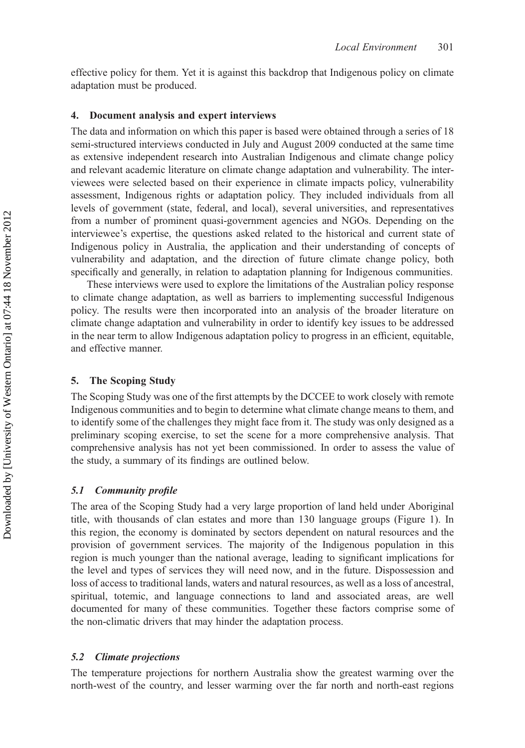effective policy for them. Yet it is against this backdrop that Indigenous policy on climate adaptation must be produced.

#### 4. Document analysis and expert interviews

The data and information on which this paper is based were obtained through a series of 18 semi-structured interviews conducted in July and August 2009 conducted at the same time as extensive independent research into Australian Indigenous and climate change policy and relevant academic literature on climate change adaptation and vulnerability. The interviewees were selected based on their experience in climate impacts policy, vulnerability assessment, Indigenous rights or adaptation policy. They included individuals from all levels of government (state, federal, and local), several universities, and representatives from a number of prominent quasi-government agencies and NGOs. Depending on the interviewee's expertise, the questions asked related to the historical and current state of Indigenous policy in Australia, the application and their understanding of concepts of vulnerability and adaptation, and the direction of future climate change policy, both specifically and generally, in relation to adaptation planning for Indigenous communities.

These interviews were used to explore the limitations of the Australian policy response to climate change adaptation, as well as barriers to implementing successful Indigenous policy. The results were then incorporated into an analysis of the broader literature on climate change adaptation and vulnerability in order to identify key issues to be addressed in the near term to allow Indigenous adaptation policy to progress in an efficient, equitable, and effective manner.

#### 5. The Scoping Study

The Scoping Study was one of the first attempts by the DCCEE to work closely with remote Indigenous communities and to begin to determine what climate change means to them, and to identify some of the challenges they might face from it. The study was only designed as a preliminary scoping exercise, to set the scene for a more comprehensive analysis. That comprehensive analysis has not yet been commissioned. In order to assess the value of the study, a summary of its findings are outlined below.

#### 5.1 Community profile

The area of the Scoping Study had a very large proportion of land held under Aboriginal title, with thousands of clan estates and more than 130 language groups (Figure 1). In this region, the economy is dominated by sectors dependent on natural resources and the provision of government services. The majority of the Indigenous population in this region is much younger than the national average, leading to significant implications for the level and types of services they will need now, and in the future. Dispossession and loss of access to traditional lands, waters and natural resources, as well as a loss of ancestral, spiritual, totemic, and language connections to land and associated areas, are well documented for many of these communities. Together these factors comprise some of the non-climatic drivers that may hinder the adaptation process.

#### 5.2 Climate projections

The temperature projections for northern Australia show the greatest warming over the north-west of the country, and lesser warming over the far north and north-east regions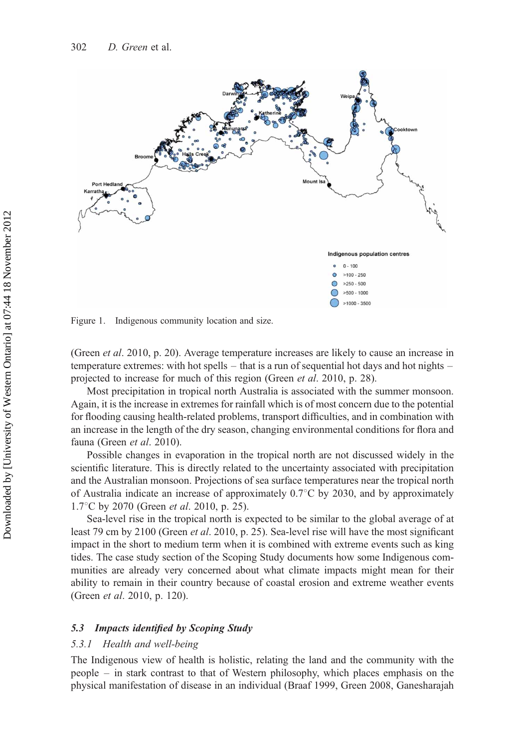

Figure 1. Indigenous community location and size.

(Green et al. 2010, p. 20). Average temperature increases are likely to cause an increase in temperature extremes: with hot spells – that is a run of sequential hot days and hot nights – projected to increase for much of this region (Green et al. 2010, p. 28).

Most precipitation in tropical north Australia is associated with the summer monsoon. Again, it is the increase in extremes for rainfall which is of most concern due to the potential for flooding causing health-related problems, transport difficulties, and in combination with an increase in the length of the dry season, changing environmental conditions for flora and fauna (Green et al. 2010).

Possible changes in evaporation in the tropical north are not discussed widely in the scientific literature. This is directly related to the uncertainty associated with precipitation and the Australian monsoon. Projections of sea surface temperatures near the tropical north of Australia indicate an increase of approximately  $0.7^{\circ}$ C by 2030, and by approximately  $1.7^{\circ}$ C by 2070 (Green *et al.* 2010, p. 25).

Sea-level rise in the tropical north is expected to be similar to the global average of at least 79 cm by 2100 (Green et al. 2010, p. 25). Sea-level rise will have the most significant impact in the short to medium term when it is combined with extreme events such as king tides. The case study section of the Scoping Study documents how some Indigenous communities are already very concerned about what climate impacts might mean for their ability to remain in their country because of coastal erosion and extreme weather events (Green et al. 2010, p. 120).

#### 5.3 Impacts identified by Scoping Study

#### 5.3.1 Health and well-being

The Indigenous view of health is holistic, relating the land and the community with the people – in stark contrast to that of Western philosophy, which places emphasis on the physical manifestation of disease in an individual (Braaf 1999, Green 2008, Ganesharajah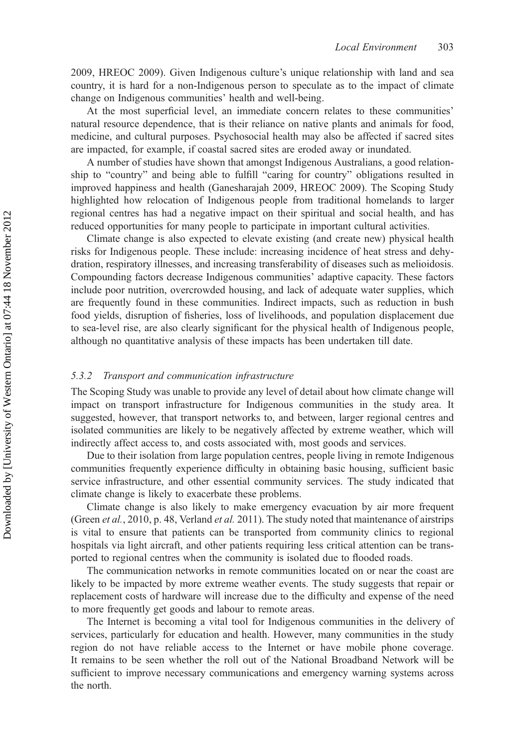2009, HREOC 2009). Given Indigenous culture's unique relationship with land and sea country, it is hard for a non-Indigenous person to speculate as to the impact of climate change on Indigenous communities' health and well-being.

At the most superficial level, an immediate concern relates to these communities' natural resource dependence, that is their reliance on native plants and animals for food, medicine, and cultural purposes. Psychosocial health may also be affected if sacred sites are impacted, for example, if coastal sacred sites are eroded away or inundated.

A number of studies have shown that amongst Indigenous Australians, a good relationship to "country" and being able to fulfill "caring for country" obligations resulted in improved happiness and health (Ganesharajah 2009, HREOC 2009). The Scoping Study highlighted how relocation of Indigenous people from traditional homelands to larger regional centres has had a negative impact on their spiritual and social health, and has reduced opportunities for many people to participate in important cultural activities.

Climate change is also expected to elevate existing (and create new) physical health risks for Indigenous people. These include: increasing incidence of heat stress and dehydration, respiratory illnesses, and increasing transferability of diseases such as melioidosis. Compounding factors decrease Indigenous communities' adaptive capacity. These factors include poor nutrition, overcrowded housing, and lack of adequate water supplies, which are frequently found in these communities. Indirect impacts, such as reduction in bush food yields, disruption of fisheries, loss of livelihoods, and population displacement due to sea-level rise, are also clearly significant for the physical health of Indigenous people, although no quantitative analysis of these impacts has been undertaken till date.

#### 5.3.2 Transport and communication infrastructure

The Scoping Study was unable to provide any level of detail about how climate change will impact on transport infrastructure for Indigenous communities in the study area. It suggested, however, that transport networks to, and between, larger regional centres and isolated communities are likely to be negatively affected by extreme weather, which will indirectly affect access to, and costs associated with, most goods and services.

Due to their isolation from large population centres, people living in remote Indigenous communities frequently experience difficulty in obtaining basic housing, sufficient basic service infrastructure, and other essential community services. The study indicated that climate change is likely to exacerbate these problems.

Climate change is also likely to make emergency evacuation by air more frequent (Green et al., 2010, p. 48, Verland et al. 2011). The study noted that maintenance of airstrips is vital to ensure that patients can be transported from community clinics to regional hospitals via light aircraft, and other patients requiring less critical attention can be transported to regional centres when the community is isolated due to flooded roads.

The communication networks in remote communities located on or near the coast are likely to be impacted by more extreme weather events. The study suggests that repair or replacement costs of hardware will increase due to the difficulty and expense of the need to more frequently get goods and labour to remote areas.

The Internet is becoming a vital tool for Indigenous communities in the delivery of services, particularly for education and health. However, many communities in the study region do not have reliable access to the Internet or have mobile phone coverage. It remains to be seen whether the roll out of the National Broadband Network will be sufficient to improve necessary communications and emergency warning systems across the north.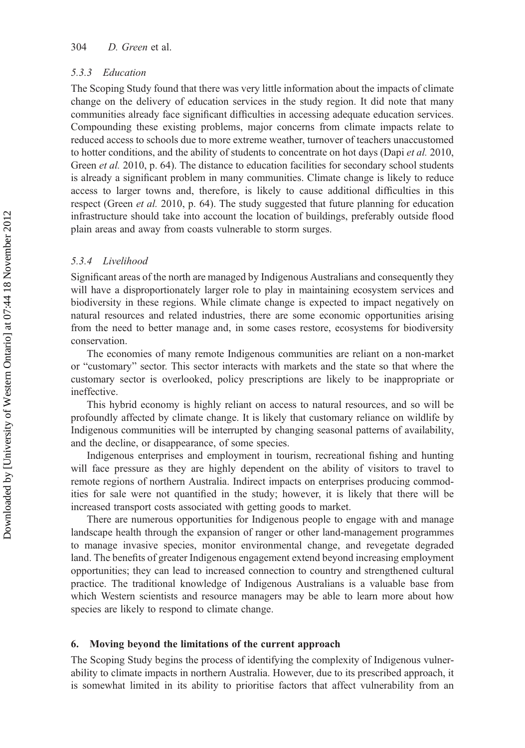#### 5.3.3 Education

The Scoping Study found that there was very little information about the impacts of climate change on the delivery of education services in the study region. It did note that many communities already face significant difficulties in accessing adequate education services. Compounding these existing problems, major concerns from climate impacts relate to reduced access to schools due to more extreme weather, turnover of teachers unaccustomed to hotter conditions, and the ability of students to concentrate on hot days (Dapi et al. 2010, Green *et al.* 2010, p. 64). The distance to education facilities for secondary school students is already a significant problem in many communities. Climate change is likely to reduce access to larger towns and, therefore, is likely to cause additional difficulties in this respect (Green et al. 2010, p. 64). The study suggested that future planning for education infrastructure should take into account the location of buildings, preferably outside flood plain areas and away from coasts vulnerable to storm surges.

#### 5.3.4 Livelihood

Significant areas of the north are managed by Indigenous Australians and consequently they will have a disproportionately larger role to play in maintaining ecosystem services and biodiversity in these regions. While climate change is expected to impact negatively on natural resources and related industries, there are some economic opportunities arising from the need to better manage and, in some cases restore, ecosystems for biodiversity conservation.

The economies of many remote Indigenous communities are reliant on a non-market or "customary" sector. This sector interacts with markets and the state so that where the customary sector is overlooked, policy prescriptions are likely to be inappropriate or ineffective.

This hybrid economy is highly reliant on access to natural resources, and so will be profoundly affected by climate change. It is likely that customary reliance on wildlife by Indigenous communities will be interrupted by changing seasonal patterns of availability, and the decline, or disappearance, of some species.

Indigenous enterprises and employment in tourism, recreational fishing and hunting will face pressure as they are highly dependent on the ability of visitors to travel to remote regions of northern Australia. Indirect impacts on enterprises producing commodities for sale were not quantified in the study; however, it is likely that there will be increased transport costs associated with getting goods to market.

There are numerous opportunities for Indigenous people to engage with and manage landscape health through the expansion of ranger or other land-management programmes to manage invasive species, monitor environmental change, and revegetate degraded land. The benefits of greater Indigenous engagement extend beyond increasing employment opportunities; they can lead to increased connection to country and strengthened cultural practice. The traditional knowledge of Indigenous Australians is a valuable base from which Western scientists and resource managers may be able to learn more about how species are likely to respond to climate change.

#### 6. Moving beyond the limitations of the current approach

The Scoping Study begins the process of identifying the complexity of Indigenous vulnerability to climate impacts in northern Australia. However, due to its prescribed approach, it is somewhat limited in its ability to prioritise factors that affect vulnerability from an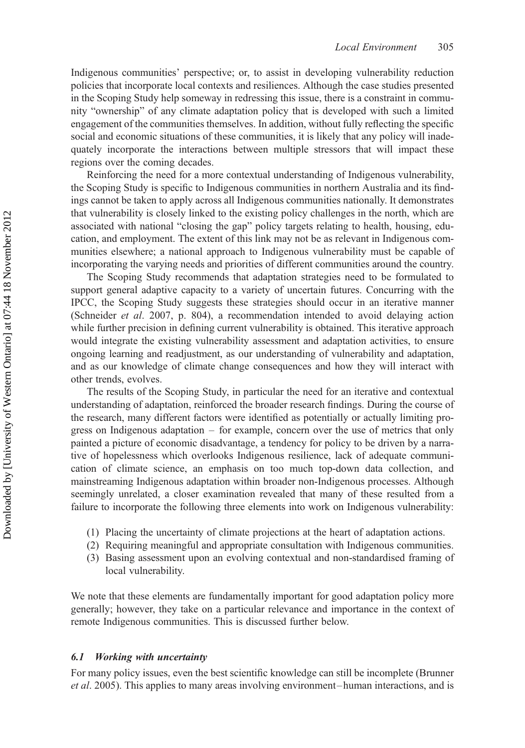Indigenous communities' perspective; or, to assist in developing vulnerability reduction policies that incorporate local contexts and resiliences. Although the case studies presented in the Scoping Study help someway in redressing this issue, there is a constraint in community "ownership" of any climate adaptation policy that is developed with such a limited engagement of the communities themselves. In addition, without fully reflecting the specific social and economic situations of these communities, it is likely that any policy will inadequately incorporate the interactions between multiple stressors that will impact these regions over the coming decades.

Reinforcing the need for a more contextual understanding of Indigenous vulnerability, the Scoping Study is specific to Indigenous communities in northern Australia and its findings cannot be taken to apply across all Indigenous communities nationally. It demonstrates that vulnerability is closely linked to the existing policy challenges in the north, which are associated with national "closing the gap" policy targets relating to health, housing, education, and employment. The extent of this link may not be as relevant in Indigenous communities elsewhere; a national approach to Indigenous vulnerability must be capable of incorporating the varying needs and priorities of different communities around the country.

The Scoping Study recommends that adaptation strategies need to be formulated to support general adaptive capacity to a variety of uncertain futures. Concurring with the IPCC, the Scoping Study suggests these strategies should occur in an iterative manner (Schneider et al. 2007, p. 804), a recommendation intended to avoid delaying action while further precision in defining current vulnerability is obtained. This iterative approach would integrate the existing vulnerability assessment and adaptation activities, to ensure ongoing learning and readjustment, as our understanding of vulnerability and adaptation, and as our knowledge of climate change consequences and how they will interact with other trends, evolves.

The results of the Scoping Study, in particular the need for an iterative and contextual understanding of adaptation, reinforced the broader research findings. During the course of the research, many different factors were identified as potentially or actually limiting progress on Indigenous adaptation – for example, concern over the use of metrics that only painted a picture of economic disadvantage, a tendency for policy to be driven by a narrative of hopelessness which overlooks Indigenous resilience, lack of adequate communication of climate science, an emphasis on too much top-down data collection, and mainstreaming Indigenous adaptation within broader non-Indigenous processes. Although seemingly unrelated, a closer examination revealed that many of these resulted from a failure to incorporate the following three elements into work on Indigenous vulnerability:

- (1) Placing the uncertainty of climate projections at the heart of adaptation actions.
- (2) Requiring meaningful and appropriate consultation with Indigenous communities.
- (3) Basing assessment upon an evolving contextual and non-standardised framing of local vulnerability.

We note that these elements are fundamentally important for good adaptation policy more generally; however, they take on a particular relevance and importance in the context of remote Indigenous communities. This is discussed further below.

#### 6.1 Working with uncertainty

For many policy issues, even the best scientific knowledge can still be incomplete (Brunner et al. 2005). This applies to many areas involving environment– human interactions, and is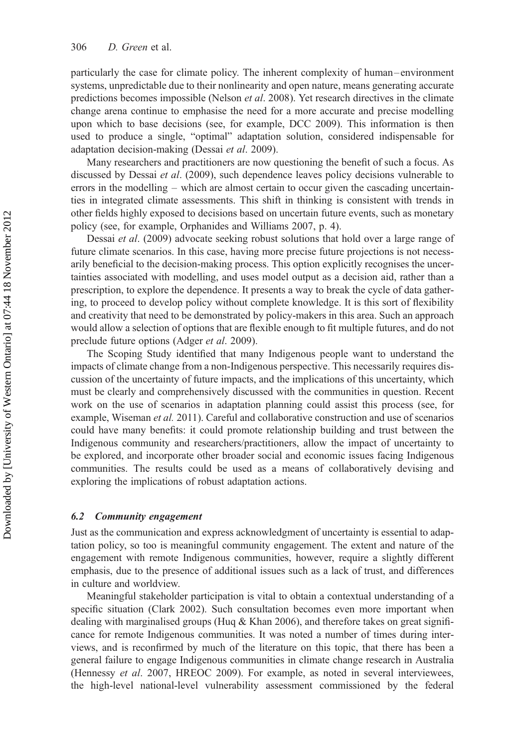particularly the case for climate policy. The inherent complexity of human –environment systems, unpredictable due to their nonlinearity and open nature, means generating accurate predictions becomes impossible (Nelson et al. 2008). Yet research directives in the climate change arena continue to emphasise the need for a more accurate and precise modelling upon which to base decisions (see, for example, DCC 2009). This information is then used to produce a single, "optimal" adaptation solution, considered indispensable for adaptation decision-making (Dessai et al. 2009).

Many researchers and practitioners are now questioning the benefit of such a focus. As discussed by Dessai et al. (2009), such dependence leaves policy decisions vulnerable to errors in the modelling – which are almost certain to occur given the cascading uncertainties in integrated climate assessments. This shift in thinking is consistent with trends in other fields highly exposed to decisions based on uncertain future events, such as monetary policy (see, for example, Orphanides and Williams 2007, p. 4).

Dessai *et al.* (2009) advocate seeking robust solutions that hold over a large range of future climate scenarios. In this case, having more precise future projections is not necessarily beneficial to the decision-making process. This option explicitly recognises the uncertainties associated with modelling, and uses model output as a decision aid, rather than a prescription, to explore the dependence. It presents a way to break the cycle of data gathering, to proceed to develop policy without complete knowledge. It is this sort of flexibility and creativity that need to be demonstrated by policy-makers in this area. Such an approach would allow a selection of options that are flexible enough to fit multiple futures, and do not preclude future options (Adger et al. 2009).

The Scoping Study identified that many Indigenous people want to understand the impacts of climate change from a non-Indigenous perspective. This necessarily requires discussion of the uncertainty of future impacts, and the implications of this uncertainty, which must be clearly and comprehensively discussed with the communities in question. Recent work on the use of scenarios in adaptation planning could assist this process (see, for example, Wiseman *et al.* 2011). Careful and collaborative construction and use of scenarios could have many benefits: it could promote relationship building and trust between the Indigenous community and researchers/practitioners, allow the impact of uncertainty to be explored, and incorporate other broader social and economic issues facing Indigenous communities. The results could be used as a means of collaboratively devising and exploring the implications of robust adaptation actions.

#### 6.2 Community engagement

Just as the communication and express acknowledgment of uncertainty is essential to adaptation policy, so too is meaningful community engagement. The extent and nature of the engagement with remote Indigenous communities, however, require a slightly different emphasis, due to the presence of additional issues such as a lack of trust, and differences in culture and worldview.

Meaningful stakeholder participation is vital to obtain a contextual understanding of a specific situation (Clark 2002). Such consultation becomes even more important when dealing with marginalised groups (Huq  $\&$  Khan 2006), and therefore takes on great significance for remote Indigenous communities. It was noted a number of times during interviews, and is reconfirmed by much of the literature on this topic, that there has been a general failure to engage Indigenous communities in climate change research in Australia (Hennessy et al. 2007, HREOC 2009). For example, as noted in several interviewees, the high-level national-level vulnerability assessment commissioned by the federal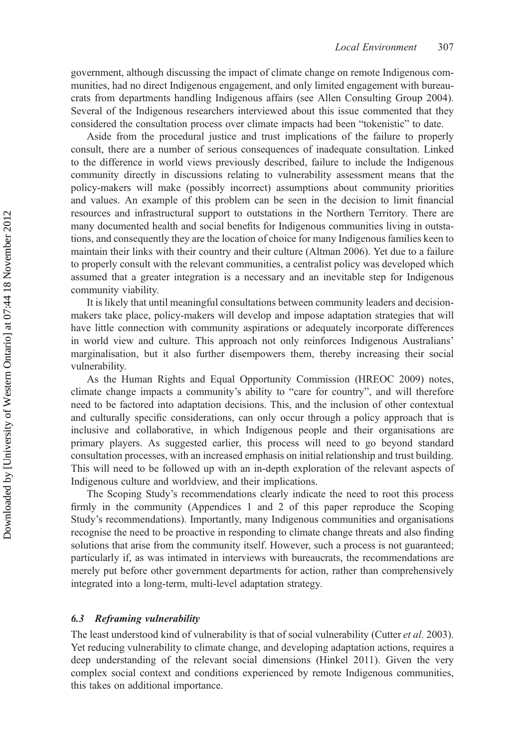government, although discussing the impact of climate change on remote Indigenous communities, had no direct Indigenous engagement, and only limited engagement with bureaucrats from departments handling Indigenous affairs (see Allen Consulting Group 2004). Several of the Indigenous researchers interviewed about this issue commented that they considered the consultation process over climate impacts had been "tokenistic" to date.

Aside from the procedural justice and trust implications of the failure to properly consult, there are a number of serious consequences of inadequate consultation. Linked to the difference in world views previously described, failure to include the Indigenous community directly in discussions relating to vulnerability assessment means that the policy-makers will make (possibly incorrect) assumptions about community priorities and values. An example of this problem can be seen in the decision to limit financial resources and infrastructural support to outstations in the Northern Territory. There are many documented health and social benefits for Indigenous communities living in outstations, and consequently they are the location of choice for many Indigenous families keen to maintain their links with their country and their culture (Altman 2006). Yet due to a failure to properly consult with the relevant communities, a centralist policy was developed which assumed that a greater integration is a necessary and an inevitable step for Indigenous community viability.

It is likely that until meaningful consultations between community leaders and decisionmakers take place, policy-makers will develop and impose adaptation strategies that will have little connection with community aspirations or adequately incorporate differences in world view and culture. This approach not only reinforces Indigenous Australians' marginalisation, but it also further disempowers them, thereby increasing their social vulnerability.

As the Human Rights and Equal Opportunity Commission (HREOC 2009) notes, climate change impacts a community's ability to "care for country", and will therefore need to be factored into adaptation decisions. This, and the inclusion of other contextual and culturally specific considerations, can only occur through a policy approach that is inclusive and collaborative, in which Indigenous people and their organisations are primary players. As suggested earlier, this process will need to go beyond standard consultation processes, with an increased emphasis on initial relationship and trust building. This will need to be followed up with an in-depth exploration of the relevant aspects of Indigenous culture and worldview, and their implications.

The Scoping Study's recommendations clearly indicate the need to root this process firmly in the community (Appendices 1 and 2 of this paper reproduce the Scoping Study's recommendations). Importantly, many Indigenous communities and organisations recognise the need to be proactive in responding to climate change threats and also finding solutions that arise from the community itself. However, such a process is not guaranteed; particularly if, as was intimated in interviews with bureaucrats, the recommendations are merely put before other government departments for action, rather than comprehensively integrated into a long-term, multi-level adaptation strategy.

#### 6.3 Reframing vulnerability

The least understood kind of vulnerability is that of social vulnerability (Cutter *et al.* 2003). Yet reducing vulnerability to climate change, and developing adaptation actions, requires a deep understanding of the relevant social dimensions (Hinkel 2011). Given the very complex social context and conditions experienced by remote Indigenous communities, this takes on additional importance.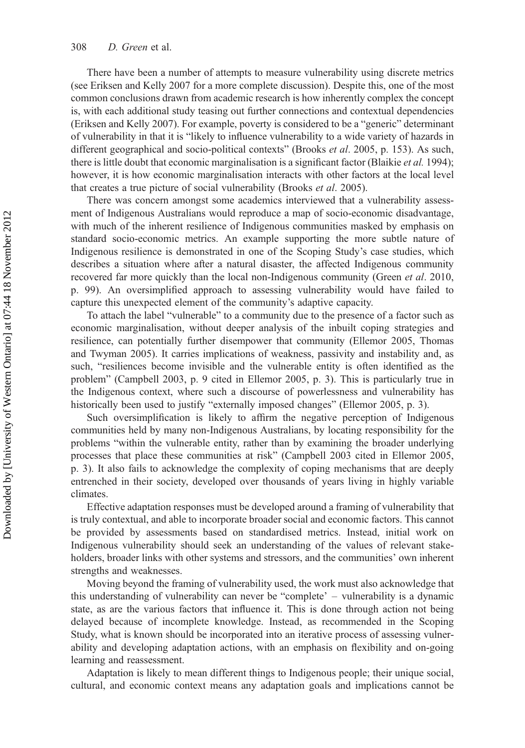There have been a number of attempts to measure vulnerability using discrete metrics (see Eriksen and Kelly 2007 for a more complete discussion). Despite this, one of the most common conclusions drawn from academic research is how inherently complex the concept is, with each additional study teasing out further connections and contextual dependencies (Eriksen and Kelly 2007). For example, poverty is considered to be a "generic" determinant of vulnerability in that it is "likely to influence vulnerability to a wide variety of hazards in different geographical and socio-political contexts" (Brooks et al. 2005, p. 153). As such, there is little doubt that economic marginalisation is a significant factor (Blaikie et al. 1994); however, it is how economic marginalisation interacts with other factors at the local level that creates a true picture of social vulnerability (Brooks et al. 2005).

There was concern amongst some academics interviewed that a vulnerability assessment of Indigenous Australians would reproduce a map of socio-economic disadvantage, with much of the inherent resilience of Indigenous communities masked by emphasis on standard socio-economic metrics. An example supporting the more subtle nature of Indigenous resilience is demonstrated in one of the Scoping Study's case studies, which describes a situation where after a natural disaster, the affected Indigenous community recovered far more quickly than the local non-Indigenous community (Green *et al.* 2010, p. 99). An oversimplified approach to assessing vulnerability would have failed to capture this unexpected element of the community's adaptive capacity.

To attach the label "vulnerable" to a community due to the presence of a factor such as economic marginalisation, without deeper analysis of the inbuilt coping strategies and resilience, can potentially further disempower that community (Ellemor 2005, Thomas and Twyman 2005). It carries implications of weakness, passivity and instability and, as such, "resiliences become invisible and the vulnerable entity is often identified as the problem" (Campbell 2003, p. 9 cited in Ellemor 2005, p. 3). This is particularly true in the Indigenous context, where such a discourse of powerlessness and vulnerability has historically been used to justify "externally imposed changes" (Ellemor 2005, p. 3).

Such oversimplification is likely to affirm the negative perception of Indigenous communities held by many non-Indigenous Australians, by locating responsibility for the problems "within the vulnerable entity, rather than by examining the broader underlying processes that place these communities at risk" (Campbell 2003 cited in Ellemor 2005, p. 3). It also fails to acknowledge the complexity of coping mechanisms that are deeply entrenched in their society, developed over thousands of years living in highly variable climates.

Effective adaptation responses must be developed around a framing of vulnerability that is truly contextual, and able to incorporate broader social and economic factors. This cannot be provided by assessments based on standardised metrics. Instead, initial work on Indigenous vulnerability should seek an understanding of the values of relevant stakeholders, broader links with other systems and stressors, and the communities' own inherent strengths and weaknesses.

Moving beyond the framing of vulnerability used, the work must also acknowledge that this understanding of vulnerability can never be "complete' – vulnerability is a dynamic state, as are the various factors that influence it. This is done through action not being delayed because of incomplete knowledge. Instead, as recommended in the Scoping Study, what is known should be incorporated into an iterative process of assessing vulnerability and developing adaptation actions, with an emphasis on flexibility and on-going learning and reassessment.

Adaptation is likely to mean different things to Indigenous people; their unique social, cultural, and economic context means any adaptation goals and implications cannot be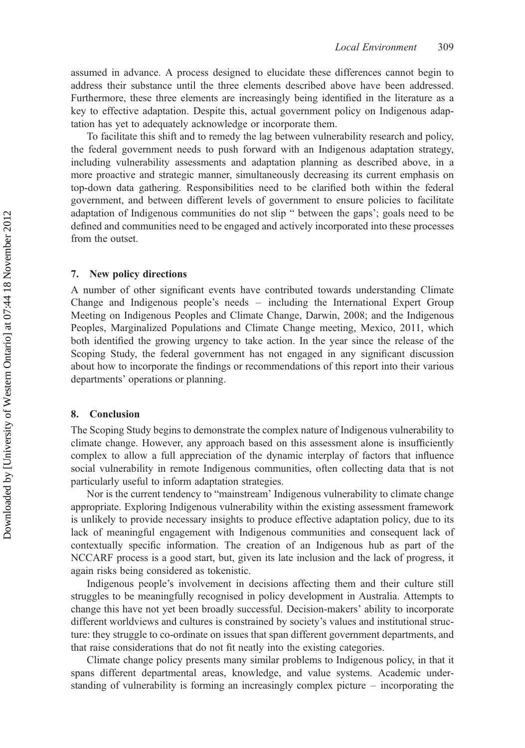assumed in advance. A process designed to elucidate these differences cannot begin to address their substance until the three elements described above have been addressed. Furthermore, these three elements are increasingly being identified in the literature as a key to effective adaptation. Despite this, actual government policy on Indigenous adaptation has yet to adequately acknowledge or incorporate them.

To facilitate this shift and to remedy the lag between vulnerability research and policy, the federal government needs to push forward with an Indigenous adaptation strategy, including vulnerability assessments and adaptation planning as described above, in a more proactive and strategic manner, simultaneously decreasing its current emphasis on top-down data gathering. Responsibilities need to be clarified both within the federal government, and between different levels of government to ensure policies to facilitate adaptation of Indigenous communities do not slip " between the gaps'; goals need to be defined and communities need to be engaged and actively incorporated into these processes from the outset.

#### 7. New policy directions

A number of other significant events have contributed towards understanding Climate Change and Indigenous people's needs – including the International Expert Group Meeting on Indigenous Peoples and Climate Change, Darwin, 2008; and the Indigenous Peoples, Marginalized Populations and Climate Change meeting, Mexico, 2011, which both identified the growing urgency to take action. In the year since the release of the Scoping Study, the federal government has not engaged in any significant discussion about how to incorporate the findings or recommendations of this report into their various departments' operations or planning.

#### 8. Conclusion

The Scoping Study begins to demonstrate the complex nature of Indigenous vulnerability to climate change. However, any approach based on this assessment alone is insufficiently complex to allow a full appreciation of the dynamic interplay of factors that influence social vulnerability in remote Indigenous communities, often collecting data that is not particularly useful to inform adaptation strategies.

Nor is the current tendency to "mainstream' Indigenous vulnerability to climate change appropriate. Exploring Indigenous vulnerability within the existing assessment framework is unlikely to provide necessary insights to produce effective adaptation policy, due to its lack of meaningful engagement with Indigenous communities and consequent lack of contextually specific information. The creation of an Indigenous hub as part of the NCCARF process is a good start, but, given its late inclusion and the lack of progress, it again risks being considered as tokenistic.

Indigenous people's involvement in decisions affecting them and their culture still struggles to be meaningfully recognised in policy development in Australia. Attempts to change this have not yet been broadly successful. Decision-makers' ability to incorporate different worldviews and cultures is constrained by society's values and institutional structure: they struggle to co-ordinate on issues that span different government departments, and that raise considerations that do not fit neatly into the existing categories.

Climate change policy presents many similar problems to Indigenous policy, in that it spans different departmental areas, knowledge, and value systems. Academic understanding of vulnerability is forming an increasingly complex picture – incorporating the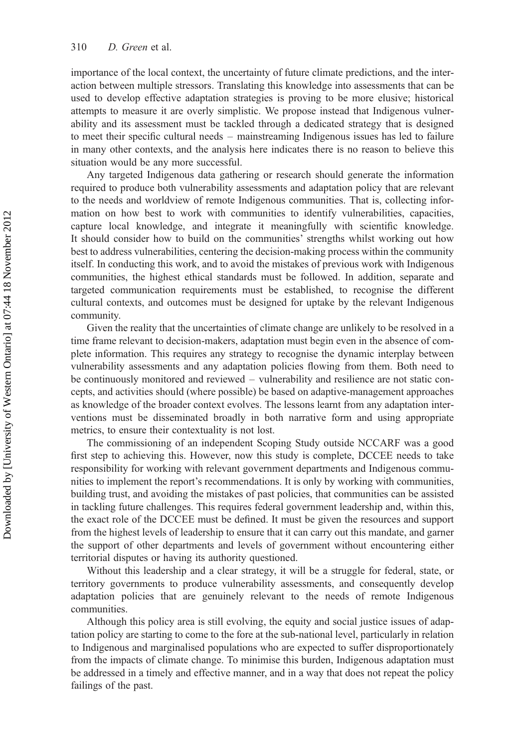importance of the local context, the uncertainty of future climate predictions, and the interaction between multiple stressors. Translating this knowledge into assessments that can be used to develop effective adaptation strategies is proving to be more elusive; historical attempts to measure it are overly simplistic. We propose instead that Indigenous vulnerability and its assessment must be tackled through a dedicated strategy that is designed to meet their specific cultural needs – mainstreaming Indigenous issues has led to failure in many other contexts, and the analysis here indicates there is no reason to believe this situation would be any more successful.

Any targeted Indigenous data gathering or research should generate the information required to produce both vulnerability assessments and adaptation policy that are relevant to the needs and worldview of remote Indigenous communities. That is, collecting information on how best to work with communities to identify vulnerabilities, capacities, capture local knowledge, and integrate it meaningfully with scientific knowledge. It should consider how to build on the communities' strengths whilst working out how best to address vulnerabilities, centering the decision-making process within the community itself. In conducting this work, and to avoid the mistakes of previous work with Indigenous communities, the highest ethical standards must be followed. In addition, separate and targeted communication requirements must be established, to recognise the different cultural contexts, and outcomes must be designed for uptake by the relevant Indigenous community.

Given the reality that the uncertainties of climate change are unlikely to be resolved in a time frame relevant to decision-makers, adaptation must begin even in the absence of complete information. This requires any strategy to recognise the dynamic interplay between vulnerability assessments and any adaptation policies flowing from them. Both need to be continuously monitored and reviewed – vulnerability and resilience are not static concepts, and activities should (where possible) be based on adaptive-management approaches as knowledge of the broader context evolves. The lessons learnt from any adaptation interventions must be disseminated broadly in both narrative form and using appropriate metrics, to ensure their contextuality is not lost.

The commissioning of an independent Scoping Study outside NCCARF was a good first step to achieving this. However, now this study is complete, DCCEE needs to take responsibility for working with relevant government departments and Indigenous communities to implement the report's recommendations. It is only by working with communities, building trust, and avoiding the mistakes of past policies, that communities can be assisted in tackling future challenges. This requires federal government leadership and, within this, the exact role of the DCCEE must be defined. It must be given the resources and support from the highest levels of leadership to ensure that it can carry out this mandate, and garner the support of other departments and levels of government without encountering either territorial disputes or having its authority questioned.

Without this leadership and a clear strategy, it will be a struggle for federal, state, or territory governments to produce vulnerability assessments, and consequently develop adaptation policies that are genuinely relevant to the needs of remote Indigenous communities.

Although this policy area is still evolving, the equity and social justice issues of adaptation policy are starting to come to the fore at the sub-national level, particularly in relation to Indigenous and marginalised populations who are expected to suffer disproportionately from the impacts of climate change. To minimise this burden, Indigenous adaptation must be addressed in a timely and effective manner, and in a way that does not repeat the policy failings of the past.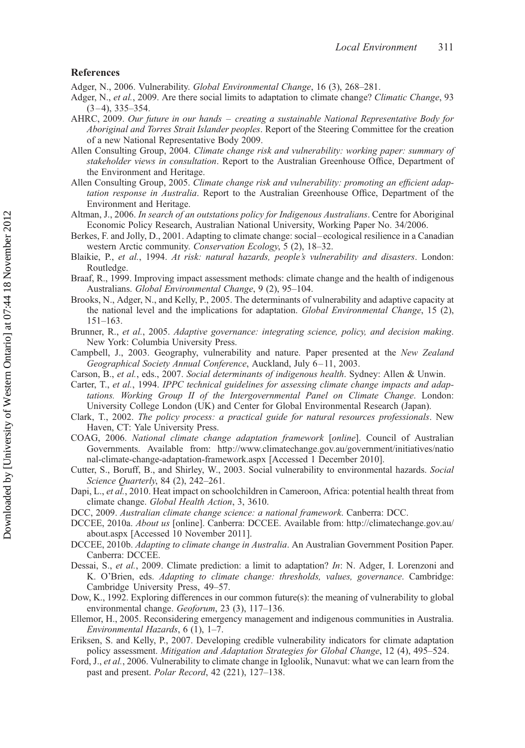#### References

Adger, N., 2006. Vulnerability. Global Environmental Change, 16 (3), 268–281.

- Adger, N., et al., 2009. Are there social limits to adaptation to climate change? Climatic Change, 93  $(3-4)$ , 335–354.
- AHRC, 2009. Our future in our hands creating a sustainable National Representative Body for Aboriginal and Torres Strait Islander peoples. Report of the Steering Committee for the creation of a new National Representative Body 2009.
- Allen Consulting Group, 2004. Climate change risk and vulnerability: working paper: summary of stakeholder views in consultation. Report to the Australian Greenhouse Office, Department of the Environment and Heritage.
- Allen Consulting Group, 2005. Climate change risk and vulnerability: promoting an efficient adaptation response in Australia. Report to the Australian Greenhouse Office, Department of the Environment and Heritage.
- Altman, J., 2006. In search of an outstations policy for Indigenous Australians. Centre for Aboriginal Economic Policy Research, Australian National University, Working Paper No. 34/2006.
- Berkes, F. and Jolly, D., 2001. Adapting to climate change: social –ecological resilience in a Canadian western Arctic community. Conservation Ecology, 5 (2), 18-32.
- Blaikie, P., et al., 1994. At risk: natural hazards, people's vulnerability and disasters. London: Routledge.
- Braaf, R., 1999. Improving impact assessment methods: climate change and the health of indigenous Australians. Global Environmental Change, 9 (2), 95–104.
- Brooks, N., Adger, N., and Kelly, P., 2005. The determinants of vulnerability and adaptive capacity at the national level and the implications for adaptation. Global Environmental Change, 15 (2), 151–163.
- Brunner, R., et al., 2005. Adaptive governance: integrating science, policy, and decision making. New York: Columbia University Press.
- Campbell, J., 2003. Geography, vulnerability and nature. Paper presented at the New Zealand Geographical Society Annual Conference, Auckland, July 6–11, 2003.
- Carson, B., et al., eds., 2007. Social determinants of indigenous health. Sydney: Allen & Unwin.
- Carter, T., et al., 1994. IPPC technical guidelines for assessing climate change impacts and adaptations. Working Group II of the Intergovernmental Panel on Climate Change. London: University College London (UK) and Center for Global Environmental Research (Japan).
- Clark, T., 2002. The policy process: a practical guide for natural resources professionals. New Haven, CT: Yale University Press.
- COAG, 2006. National climate change adaptation framework [online]. Council of Australian Governments. Available from: [http://www.climatechange.gov.au/government/initiatives/natio](http://www.climatechange.gov.au/government/initiatives/national-climate-change-adaptation-framework.aspx) [nal-climate-change-adaptation-framework.aspx](http://www.climatechange.gov.au/government/initiatives/national-climate-change-adaptation-framework.aspx) [Accessed 1 December 2010].
- Cutter, S., Boruff, B., and Shirley, W., 2003. Social vulnerability to environmental hazards. Social Science Quarterly, 84 (2), 242–261.
- Dapi, L., et al., 2010. Heat impact on schoolchildren in Cameroon, Africa: potential health threat from climate change. Global Health Action, 3, 3610.
- DCC, 2009. Australian climate change science: a national framework. Canberra: DCC.
- DCCEE, 2010a. About us [online]. Canberra: DCCEE. Available from: [http://climatechange.gov.au/](http://climatechange.gov.au/about.aspx) [about.aspx](http://climatechange.gov.au/about.aspx) [Accessed 10 November 2011].
- DCCEE, 2010b. Adapting to climate change in Australia. An Australian Government Position Paper. Canberra: DCCEE.
- Dessai, S., et al., 2009. Climate prediction: a limit to adaptation? In: N. Adger, I. Lorenzoni and K. O'Brien, eds. Adapting to climate change: thresholds, values, governance. Cambridge: Cambridge University Press, 49–57.
- Dow, K., 1992. Exploring differences in our common future(s): the meaning of vulnerability to global environmental change. Geoforum, 23 (3), 117-136.
- Ellemor, H., 2005. Reconsidering emergency management and indigenous communities in Australia. Environmental Hazards, 6 (1), 1–7.
- Eriksen, S. and Kelly, P., 2007. Developing credible vulnerability indicators for climate adaptation policy assessment. Mitigation and Adaptation Strategies for Global Change, 12 (4), 495-524.
- Ford, J., et al., 2006. Vulnerability to climate change in Igloolik, Nunavut: what we can learn from the past and present. Polar Record, 42 (221), 127–138.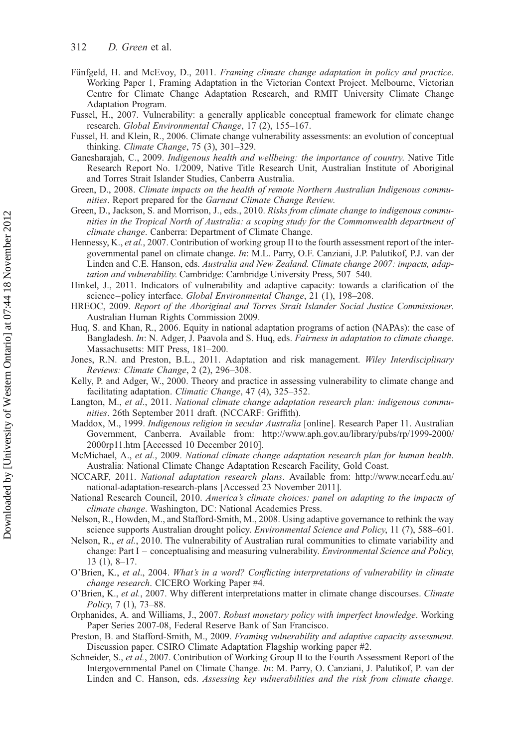- Fünfgeld, H. and McEvoy, D., 2011. Framing climate change adaptation in policy and practice. Working Paper 1, Framing Adaptation in the Victorian Context Project. Melbourne, Victorian Centre for Climate Change Adaptation Research, and RMIT University Climate Change Adaptation Program.
- Fussel, H., 2007. Vulnerability: a generally applicable conceptual framework for climate change research. Global Environmental Change, 17 (2), 155–167.
- Fussel, H. and Klein, R., 2006. Climate change vulnerability assessments: an evolution of conceptual thinking. Climate Change, 75 (3), 301–329.
- Ganesharajah, C., 2009. Indigenous health and wellbeing: the importance of country. Native Title Research Report No. 1/2009, Native Title Research Unit, Australian Institute of Aboriginal and Torres Strait Islander Studies, Canberra Australia.
- Green, D., 2008. Climate impacts on the health of remote Northern Australian Indigenous communities. Report prepared for the Garnaut Climate Change Review.
- Green, D., Jackson, S. and Morrison, J., eds., 2010. Risks from climate change to indigenous communities in the Tropical North of Australia: a scoping study for the Commonwealth department of climate change. Canberra: Department of Climate Change.
- Hennessy, K., et al., 2007. Contribution of working group II to the fourth assessment report of the intergovernmental panel on climate change. In: M.L. Parry, O.F. Canziani, J.P. Palutikof, P.J. van der Linden and C.E. Hanson, eds. Australia and New Zealand. Climate change 2007: impacts, adaptation and vulnerability. Cambridge: Cambridge University Press, 507–540.
- Hinkel, J., 2011. Indicators of vulnerability and adaptive capacity: towards a clarification of the science –policy interface. Global Environmental Change, 21 (1), 198–208.
- HREOC, 2009. Report of the Aboriginal and Torres Strait Islander Social Justice Commissioner. Australian Human Rights Commission 2009.
- Huq, S. and Khan, R., 2006. Equity in national adaptation programs of action (NAPAs): the case of Bangladesh. In: N. Adger, J. Paavola and S. Huq, eds. Fairness in adaptation to climate change. Massachusetts: MIT Press, 181–200.
- Jones, R.N. and Preston, B.L., 2011. Adaptation and risk management. Wiley Interdisciplinary Reviews: Climate Change, 2 (2), 296–308.
- Kelly, P. and Adger, W., 2000. Theory and practice in assessing vulnerability to climate change and facilitating adaptation. Climatic Change, 47 (4), 325–352.
- Langton, M., et al., 2011. National climate change adaptation research plan: indigenous communities. 26th September 2011 draft. (NCCARF: Griffith).
- Maddox, M., 1999. Indigenous religion in secular Australia [online]. Research Paper 11. Australian Government, Canberra. Available from: [http://www.aph.gov.au/library/pubs/rp/1999-2000/](http://www.aph.gov.au/library/pubs/rp/1999-2000/2000rp11.htm) [2000rp11.htm](http://www.aph.gov.au/library/pubs/rp/1999-2000/2000rp11.htm) [Accessed 10 December 2010].
- McMichael, A., et al., 2009. National climate change adaptation research plan for human health. Australia: National Climate Change Adaptation Research Facility, Gold Coast.
- NCCARF, 2011. National adaptation research plans. Available from: [http://www.nccarf.edu.au/](http://www.nccarf.edu.au/national-adaptation-research-plans) [national-adaptation-research-plans](http://www.nccarf.edu.au/national-adaptation-research-plans) [Accessed 23 November 2011].
- National Research Council, 2010. America's climate choices: panel on adapting to the impacts of climate change. Washington, DC: National Academies Press.
- Nelson, R., Howden, M., and Stafford-Smith, M., 2008. Using adaptive governance to rethink the way science supports Australian drought policy. Environmental Science and Policy, 11 (7), 588-601.
- Nelson, R., et al., 2010. The vulnerability of Australian rural communities to climate variability and change: Part I – conceptualising and measuring vulnerability. *Environmental Science and Policy*, 13 (1), 8–17.
- O'Brien, K., et al., 2004. What's in a word? Conflicting interpretations of vulnerability in climate change research. CICERO Working Paper #4.
- O'Brien, K., et al., 2007. Why different interpretations matter in climate change discourses. Climate Policy, 7 (1), 73–88.
- Orphanides, A. and Williams, J., 2007. Robust monetary policy with imperfect knowledge. Working Paper Series 2007-08, Federal Reserve Bank of San Francisco.
- Preston, B. and Stafford-Smith, M., 2009. Framing vulnerability and adaptive capacity assessment. Discussion paper. CSIRO Climate Adaptation Flagship working paper #2.
- Schneider, S., et al., 2007. Contribution of Working Group II to the Fourth Assessment Report of the Intergovernmental Panel on Climate Change. In: M. Parry, O. Canziani, J. Palutikof, P. van der Linden and C. Hanson, eds. Assessing key vulnerabilities and the risk from climate change.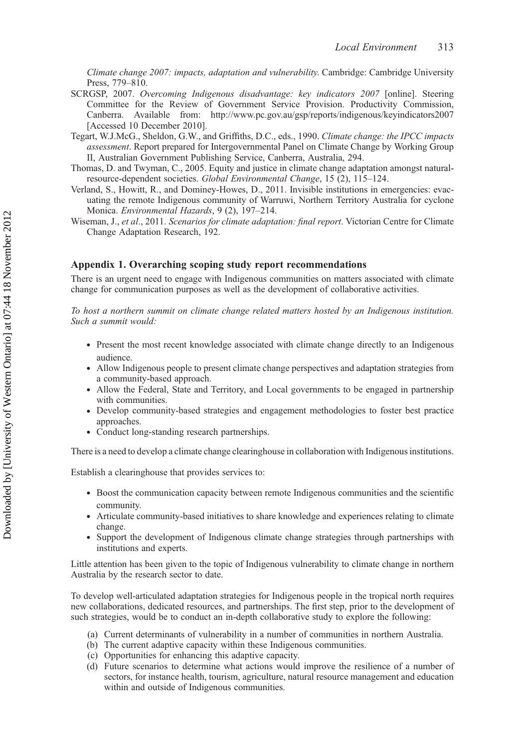Climate change 2007: impacts, adaptation and vulnerability. Cambridge: Cambridge University Press, 779–810.

- SCRGSP, 2007. Overcoming Indigenous disadvantage: key indicators 2007 [online]. Steering Committee for the Review of Government Service Provision. Productivity Commission, Canberra. Available from:<http://www.pc.gov.au/gsp/reports/indigenous/keyindicators2007> [Accessed 10 December 2010].
- Tegart, W.J.McG., Sheldon, G.W., and Griffiths, D.C., eds., 1990. Climate change: the IPCC impacts assessment. Report prepared for Intergovernmental Panel on Climate Change by Working Group II, Australian Government Publishing Service, Canberra, Australia, 294.
- Thomas, D. and Twyman, C., 2005. Equity and justice in climate change adaptation amongst naturalresource-dependent societies. Global Environmental Change, 15 (2), 115–124.
- Verland, S., Howitt, R., and Dominey-Howes, D., 2011. Invisible institutions in emergencies: evacuating the remote Indigenous community of Warruwi, Northern Territory Australia for cyclone Monica. Environmental Hazards, 9 (2), 197–214.
- Wiseman, J., et al., 2011. Scenarios for climate adaptation: final report. Victorian Centre for Climate Change Adaptation Research, 192.

#### Appendix 1. Overarching scoping study report recommendations

There is an urgent need to engage with Indigenous communities on matters associated with climate change for communication purposes as well as the development of collaborative activities.

To host a northern summit on climate change related matters hosted by an Indigenous institution. Such a summit would:

- . Present the most recent knowledge associated with climate change directly to an Indigenous audience.
- . Allow Indigenous people to present climate change perspectives and adaptation strategies from a community-based approach.
- . Allow the Federal, State and Territory, and Local governments to be engaged in partnership with communities.
- . Develop community-based strategies and engagement methodologies to foster best practice approaches.
- . Conduct long-standing research partnerships.

There is a need to develop a climate change clearinghouse in collaboration with Indigenous institutions.

Establish a clearinghouse that provides services to:

- . Boost the communication capacity between remote Indigenous communities and the scientific community.
- . Articulate community-based initiatives to share knowledge and experiences relating to climate change.
- . Support the development of Indigenous climate change strategies through partnerships with institutions and experts.

Little attention has been given to the topic of Indigenous vulnerability to climate change in northern Australia by the research sector to date.

To develop well-articulated adaptation strategies for Indigenous people in the tropical north requires new collaborations, dedicated resources, and partnerships. The first step, prior to the development of such strategies, would be to conduct an in-depth collaborative study to explore the following:

- (a) Current determinants of vulnerability in a number of communities in northern Australia.
- (b) The current adaptive capacity within these Indigenous communities.
- (c) Opportunities for enhancing this adaptive capacity.
- (d) Future scenarios to determine what actions would improve the resilience of a number of sectors, for instance health, tourism, agriculture, natural resource management and education within and outside of Indigenous communities.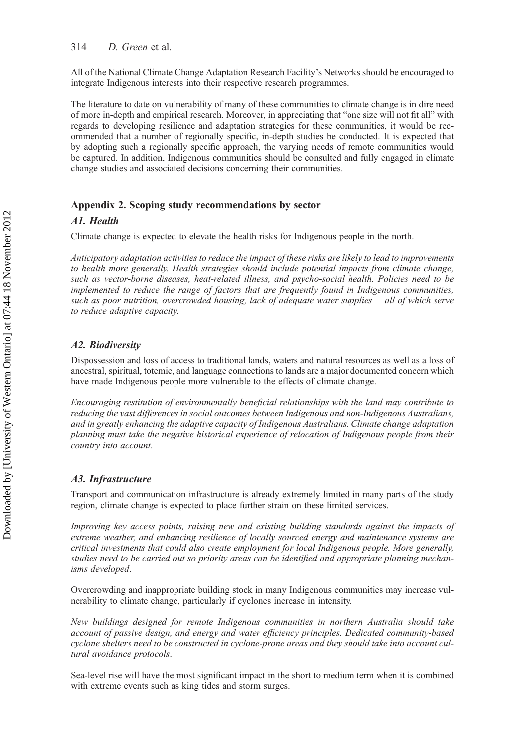All of the National Climate Change Adaptation Research Facility's Networks should be encouraged to integrate Indigenous interests into their respective research programmes.

The literature to date on vulnerability of many of these communities to climate change is in dire need of more in-depth and empirical research. Moreover, in appreciating that "one size will not fit all" with regards to developing resilience and adaptation strategies for these communities, it would be recommended that a number of regionally specific, in-depth studies be conducted. It is expected that by adopting such a regionally specific approach, the varying needs of remote communities would be captured. In addition, Indigenous communities should be consulted and fully engaged in climate change studies and associated decisions concerning their communities.

#### Appendix 2. Scoping study recommendations by sector

#### A1. Health

Climate change is expected to elevate the health risks for Indigenous people in the north.

Anticipatory adaptation activities to reduce the impact of these risks are likely to lead to improvements to health more generally. Health strategies should include potential impacts from climate change, such as vector-borne diseases, heat-related illness, and psycho-social health. Policies need to be implemented to reduce the range of factors that are frequently found in Indigenous communities, such as poor nutrition, overcrowded housing, lack of adequate water supplies – all of which serve to reduce adaptive capacity.

#### A2. Biodiversity

Dispossession and loss of access to traditional lands, waters and natural resources as well as a loss of ancestral, spiritual, totemic, and language connections to lands are a major documented concern which have made Indigenous people more vulnerable to the effects of climate change.

Encouraging restitution of environmentally beneficial relationships with the land may contribute to reducing the vast differences in social outcomes between Indigenous and non-Indigenous Australians, and in greatly enhancing the adaptive capacity of Indigenous Australians. Climate change adaptation planning must take the negative historical experience of relocation of Indigenous people from their country into account.

#### A3. Infrastructure

Transport and communication infrastructure is already extremely limited in many parts of the study region, climate change is expected to place further strain on these limited services.

Improving key access points, raising new and existing building standards against the impacts of extreme weather, and enhancing resilience of locally sourced energy and maintenance systems are critical investments that could also create employment for local Indigenous people. More generally, studies need to be carried out so priority areas can be identified and appropriate planning mechanisms developed.

Overcrowding and inappropriate building stock in many Indigenous communities may increase vulnerability to climate change, particularly if cyclones increase in intensity.

New buildings designed for remote Indigenous communities in northern Australia should take account of passive design, and energy and water efficiency principles. Dedicated community-based cyclone shelters need to be constructed in cyclone-prone areas and they should take into account cultural avoidance protocols.

Sea-level rise will have the most significant impact in the short to medium term when it is combined with extreme events such as king tides and storm surges.